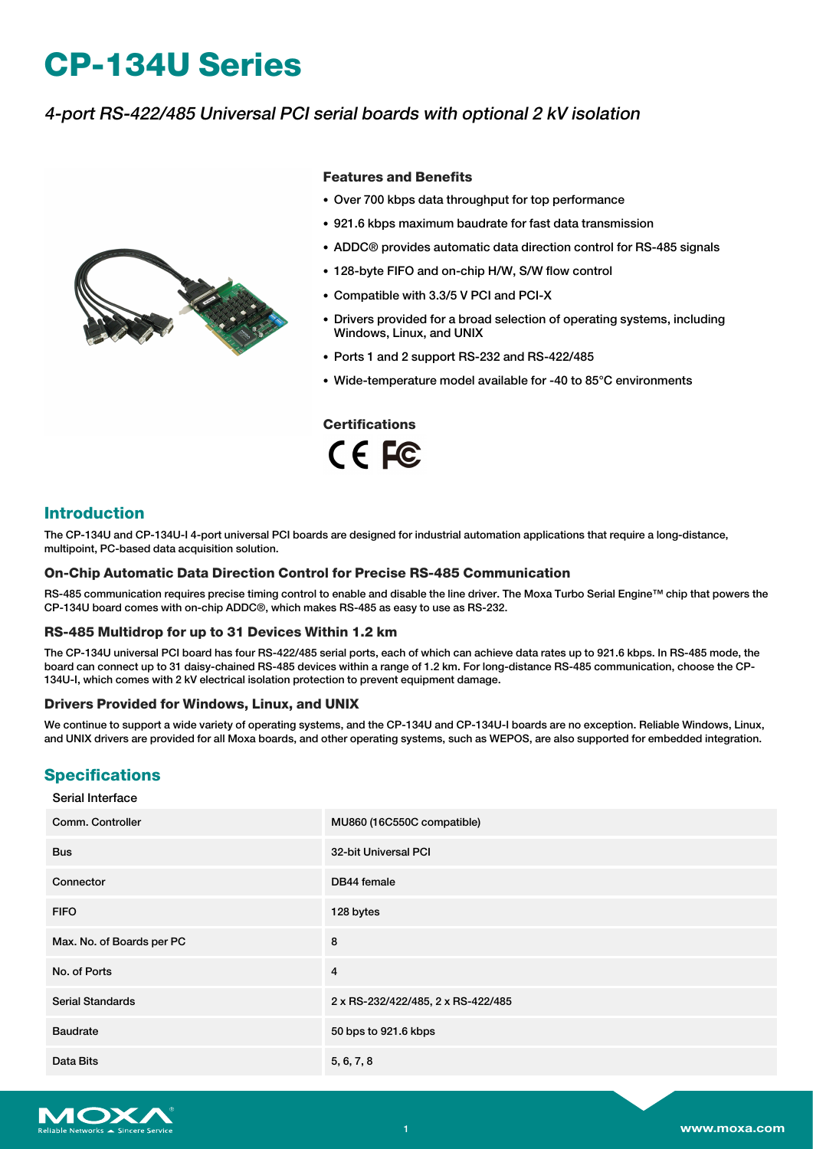# **CP-134U Series**

# 4-port RS-422/485 Universal PCI serial boards with optional 2 kV isolation



#### **Features and Benefits**

- Over 700 kbps data throughput for top performance
- 921.6 kbps maximum baudrate for fast data transmission
- ADDC® provides automatic data direction control for RS-485 signals
- 128-byte FIFO and on-chip H/W, S/W flow control
- Compatible with 3.3/5 V PCI and PCI-X
- Drivers provided for a broad selection of operating systems, including Windows, Linux, and UNIX
- Ports 1 and 2 support RS-232 and RS-422/485
- Wide-temperature model available for -40 to 85°C environments

**Certifications** CE FC

## **Introduction**

The CP-134U and CP-134U-I 4-port universal PCI boards are designed for industrial automation applications that require a long-distance, multipoint, PC-based data acquisition solution.

#### **On-Chip Automatic Data Direction Control for Precise RS-485 Communication**

RS-485 communication requires precise timing control to enable and disable the line driver. The Moxa Turbo Serial Engine™ chip that powers the CP-134U board comes with on-chip ADDC®, which makes RS-485 as easy to use as RS-232.

#### **RS-485 Multidrop for up to 31 Devices Within 1.2 km**

The CP-134U universal PCI board has four RS-422/485 serial ports, each of which can achieve data rates up to 921.6 kbps. In RS-485 mode, the board can connect up to 31 daisy-chained RS-485 devices within a range of 1.2 km. For long-distance RS-485 communication, choose the CP-134U-I, which comes with 2 kV electrical isolation protection to prevent equipment damage.

#### **Drivers Provided for Windows, Linux, and UNIX**

We continue to support a wide variety of operating systems, and the CP-134U and CP-134U-I boards are no exception. Reliable Windows, Linux, and UNIX drivers are provided for all Moxa boards, and other operating systems, such as WEPOS, are also supported for embedded integration.

### **Specifications**

#### Serial Interface

| Comm. Controller          | MU860 (16C550C compatible)         |
|---------------------------|------------------------------------|
| <b>Bus</b>                | 32-bit Universal PCI               |
| Connector                 | DB44 female                        |
| <b>FIFO</b>               | 128 bytes                          |
| Max. No. of Boards per PC | 8                                  |
| No. of Ports              | $\overline{4}$                     |
| <b>Serial Standards</b>   | 2 x RS-232/422/485, 2 x RS-422/485 |
| <b>Baudrate</b>           | 50 bps to 921.6 kbps               |
| Data Bits                 | 5, 6, 7, 8                         |

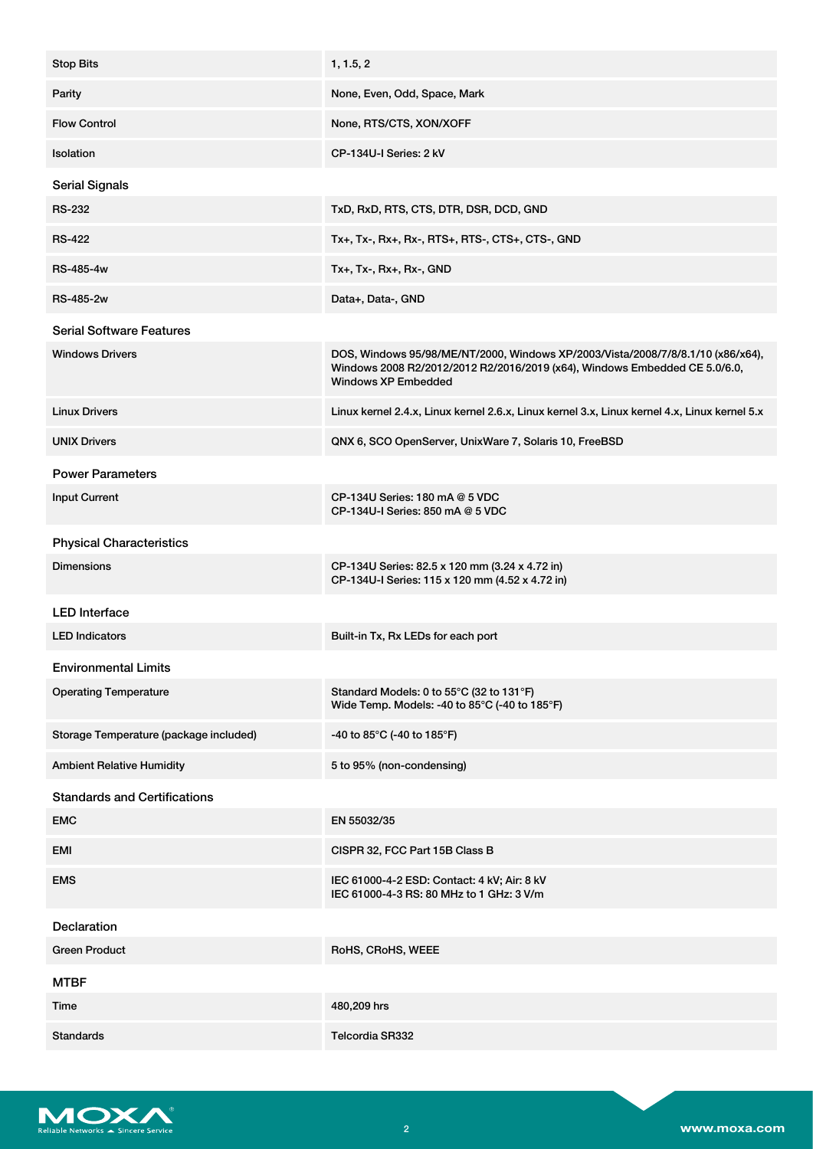| <b>Stop Bits</b>                       | 1, 1.5, 2                                                                                                                                                                                   |
|----------------------------------------|---------------------------------------------------------------------------------------------------------------------------------------------------------------------------------------------|
| Parity                                 | None, Even, Odd, Space, Mark                                                                                                                                                                |
| <b>Flow Control</b>                    | None, RTS/CTS, XON/XOFF                                                                                                                                                                     |
| Isolation                              | CP-134U-I Series: 2 kV                                                                                                                                                                      |
| <b>Serial Signals</b>                  |                                                                                                                                                                                             |
| <b>RS-232</b>                          | TxD, RxD, RTS, CTS, DTR, DSR, DCD, GND                                                                                                                                                      |
| <b>RS-422</b>                          | Tx+, Tx-, Rx+, Rx-, RTS+, RTS-, CTS+, CTS-, GND                                                                                                                                             |
| <b>RS-485-4w</b>                       | Tx+, Tx-, Rx+, Rx-, GND                                                                                                                                                                     |
| <b>RS-485-2w</b>                       | Data+, Data-, GND                                                                                                                                                                           |
| <b>Serial Software Features</b>        |                                                                                                                                                                                             |
| <b>Windows Drivers</b>                 | DOS, Windows 95/98/ME/NT/2000, Windows XP/2003/Vista/2008/7/8/8.1/10 (x86/x64),<br>Windows 2008 R2/2012/2012 R2/2016/2019 (x64), Windows Embedded CE 5.0/6.0,<br><b>Windows XP Embedded</b> |
| <b>Linux Drivers</b>                   | Linux kernel 2.4.x, Linux kernel 2.6.x, Linux kernel 3.x, Linux kernel 4.x, Linux kernel 5.x                                                                                                |
| <b>UNIX Drivers</b>                    | QNX 6, SCO OpenServer, UnixWare 7, Solaris 10, FreeBSD                                                                                                                                      |
| <b>Power Parameters</b>                |                                                                                                                                                                                             |
| <b>Input Current</b>                   | CP-134U Series: 180 mA @ 5 VDC<br>CP-134U-I Series: 850 mA @ 5 VDC                                                                                                                          |
| <b>Physical Characteristics</b>        |                                                                                                                                                                                             |
| <b>Dimensions</b>                      | CP-134U Series: 82.5 x 120 mm (3.24 x 4.72 in)<br>CP-134U-I Series: 115 x 120 mm (4.52 x 4.72 in)                                                                                           |
| <b>LED</b> Interface                   |                                                                                                                                                                                             |
| <b>LED Indicators</b>                  | Built-in Tx, Rx LEDs for each port                                                                                                                                                          |
| <b>Environmental Limits</b>            |                                                                                                                                                                                             |
| <b>Operating Temperature</b>           | Standard Models: 0 to 55°C (32 to 131°F)<br>Wide Temp. Models: -40 to 85°C (-40 to 185°F)                                                                                                   |
| Storage Temperature (package included) | -40 to 85°C (-40 to 185°F)                                                                                                                                                                  |
| <b>Ambient Relative Humidity</b>       | 5 to 95% (non-condensing)                                                                                                                                                                   |
| <b>Standards and Certifications</b>    |                                                                                                                                                                                             |
| <b>EMC</b>                             | EN 55032/35                                                                                                                                                                                 |
| EMI                                    | CISPR 32, FCC Part 15B Class B                                                                                                                                                              |
| <b>EMS</b>                             | IEC 61000-4-2 ESD: Contact: 4 kV; Air: 8 kV<br>IEC 61000-4-3 RS: 80 MHz to 1 GHz: 3 V/m                                                                                                     |
| Declaration                            |                                                                                                                                                                                             |
| <b>Green Product</b>                   | RoHS, CRoHS, WEEE                                                                                                                                                                           |
| <b>MTBF</b>                            |                                                                                                                                                                                             |
| Time                                   | 480,209 hrs                                                                                                                                                                                 |
| <b>Standards</b>                       | <b>Telcordia SR332</b>                                                                                                                                                                      |

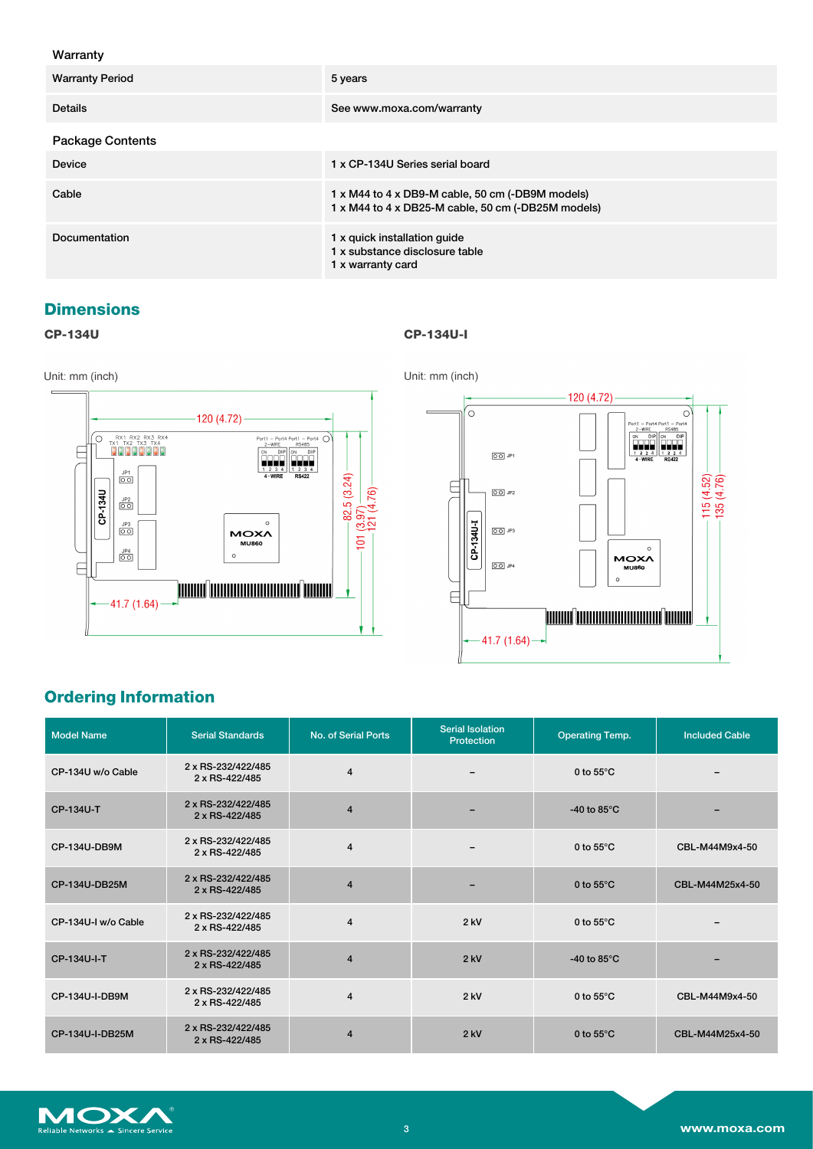#### Warranty

| <b>Warranty Period</b>  | 5 years                                                                                                |
|-------------------------|--------------------------------------------------------------------------------------------------------|
| <b>Details</b>          | See www.moxa.com/warranty                                                                              |
| <b>Package Contents</b> |                                                                                                        |
| Device                  | 1 x CP-134U Series serial board                                                                        |
| Cable                   | 1 x M44 to 4 x DB9-M cable, 50 cm (-DB9M models)<br>1 x M44 to 4 x DB25-M cable, 50 cm (-DB25M models) |
| Documentation           | 1 x quick installation guide<br>1 x substance disclosure table<br>1 x warranty card                    |

# **Dimensions**

**CP-134U CP-134U-I**



# **Ordering Information**

| <b>Model Name</b>   | <b>Serial Standards</b>              | No. of Serial Ports | <b>Serial Isolation</b><br>Protection | <b>Operating Temp.</b> | <b>Included Cable</b>    |
|---------------------|--------------------------------------|---------------------|---------------------------------------|------------------------|--------------------------|
| CP-134U w/o Cable   | 2 x RS-232/422/485<br>2 x RS-422/485 | $\overline{4}$      | $\qquad \qquad$                       | 0 to $55^{\circ}$ C    | $\overline{\phantom{0}}$ |
| CP-134U-T           | 2 x RS-232/422/485<br>2 x RS-422/485 | $\overline{4}$      |                                       | -40 to 85 $\degree$ C  |                          |
| CP-134U-DB9M        | 2 x RS-232/422/485<br>2 x RS-422/485 | $\overline{4}$      | $\overline{\phantom{0}}$              | 0 to $55^{\circ}$ C    | CBL-M44M9x4-50           |
| CP-134U-DB25M       | 2 x RS-232/422/485<br>2 x RS-422/485 | $\overline{4}$      |                                       | 0 to $55^{\circ}$ C    | CBL-M44M25x4-50          |
| CP-134U-I w/o Cable | 2 x RS-232/422/485<br>2 x RS-422/485 | $\overline{4}$      | $2$ kV                                | 0 to $55^{\circ}$ C    |                          |
| CP-134U-I-T         | 2 x RS-232/422/485<br>2 x RS-422/485 | $\overline{4}$      | $2$ kV                                | -40 to 85 $\degree$ C  |                          |
| CP-134U-I-DB9M      | 2 x RS-232/422/485<br>2 x RS-422/485 | $\overline{4}$      | $2$ kV                                | 0 to $55^{\circ}$ C    | CBL-M44M9x4-50           |
| CP-134U-I-DB25M     | 2 x RS-232/422/485<br>2 x RS-422/485 | $\overline{4}$      | $2$ kV                                | 0 to $55^{\circ}$ C    | CBL-M44M25x4-50          |